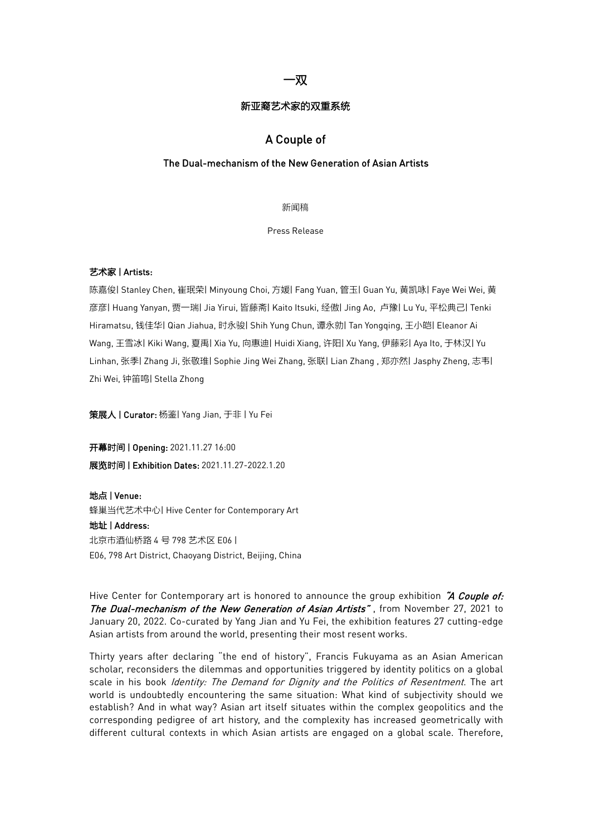# 一双

#### 新亚裔艺术家的双重系统

# A Couple of

### The Dual-mechanism of the New Generation of Asian Artists

新闻稿

Press Release

### 艺术家 | Artists:

陈嘉俊| Stanley Chen, 崔珉荣| Minyoung Choi, 方媛| Fang Yuan, 管玉| Guan Yu, 黄凯咏| Faye Wei Wei, 黄 彦彦| Huang Yanyan, 贾一瑞| Jia Yirui, 皆藤斋| Kaito Itsuki, 经傲| Jing Ao, 卢豫| Lu Yu, 平松典己| Tenki Hiramatsu, 钱佳华| Qian Jiahua, 时永骏| Shih Yung Chun, 谭永勍| Tan Yongqing, 王小皑| Eleanor Ai Wang, 王雪冰| Kiki Wang, 夏禹| Xia Yu, 向惠迪| Huidi Xiang, 许阳| Xu Yang, 伊藤彩| Aya Ito, 于林汉| Yu Linhan, 张季| Zhang Ji, 张敬琟| Sophie Jing Wei Zhang, 张联| Lian Zhang , 郑亦然|Jasphy Zheng, 志韦| Zhi Wei, 钟笛鸣| Stella Zhong

策展人 | Curator: 杨鉴| Yang Jian, 于非 | Yu Fei

开幕时间 | Opening: 2021.11.27 16:00 展览时间 | Exhibition Dates: 2021.11.27-2022.1.20

地点 | Venue:

蜂巢当代艺术中心| Hive Center for Contemporary Art

#### 地址 | Address:

北京市酒仙桥路 4 号 798 艺术区 E06 | E06, 798 Art District, Chaoyang District, Beijing, China

Hive Center for Contemporary art is honored to announce the group exhibition "A Couple of: The Dual-mechanism of the New Generation of Asian Artists", from November 27, 2021 to January 20, 2022. Co-curated by Yang Jian and Yu Fei, the exhibition features 27 cutting-edge Asian artists from around the world, presenting their most resent works.

Thirty years after declaring "the end of history", Francis Fukuyama as an Asian American scholar, reconsiders the dilemmas and opportunities triggered by identity politics on a global scale in his book Identity: The Demand for Dignity and the Politics of Resentment. The art world is undoubtedly encountering the same situation: What kind of subjectivity should we establish? And in what way? Asian art itself situates within the complex geopolitics and the corresponding pedigree of art history, and the complexity has increased geometrically with different cultural contexts in which Asian artists are engaged on a global scale. Therefore,